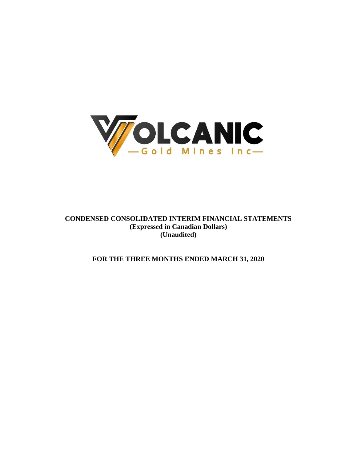

**CONDENSED CONSOLIDATED INTERIM FINANCIAL STATEMENTS (Expressed in Canadian Dollars) (Unaudited)**

**FOR THE THREE MONTHS ENDED MARCH 31, 2020**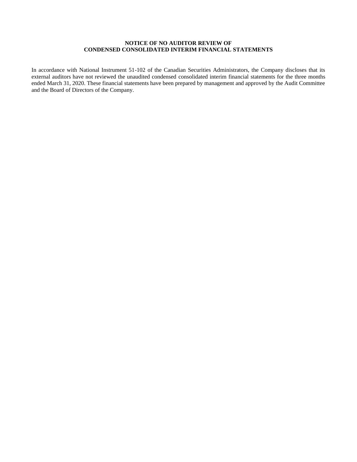# **NOTICE OF NO AUDITOR REVIEW OF CONDENSED CONSOLIDATED INTERIM FINANCIAL STATEMENTS**

In accordance with National Instrument 51-102 of the Canadian Securities Administrators, the Company discloses that its external auditors have not reviewed the unaudited condensed consolidated interim financial statements for the three months ended March 31, 2020. These financial statements have been prepared by management and approved by the Audit Committee and the Board of Directors of the Company.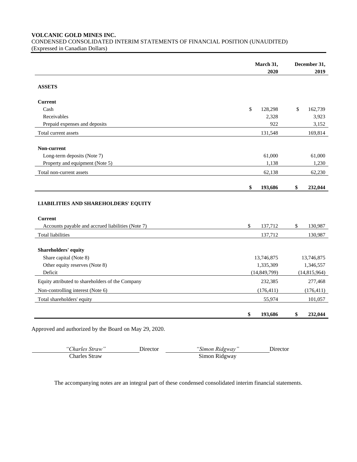**VOLCANIC GOLD MINES INC.**

CONDENSED CONSOLIDATED INTERIM STATEMENTS OF FINANCIAL POSITION (UNAUDITED) (Expressed in Canadian Dollars)

|                                                   | March 31,      | December 31,   |
|---------------------------------------------------|----------------|----------------|
|                                                   | 2020           | 2019           |
| <b>ASSETS</b>                                     |                |                |
| <b>Current</b>                                    |                |                |
| Cash                                              | \$<br>128,298  | \$<br>162,739  |
| Receivables                                       | 2,328          | 3,923          |
| Prepaid expenses and deposits                     | 922            | 3,152          |
| Total current assets                              | 131,548        | 169,814        |
|                                                   |                |                |
| Non-current                                       |                |                |
| Long-term deposits (Note 7)                       | 61,000         | 61,000         |
| Property and equipment (Note 5)                   | 1,138          | 1,230          |
| Total non-current assets                          | 62,138         | 62,230         |
|                                                   | \$<br>193,686  | \$<br>232,044  |
| <b>LIABILITIES AND SHAREHOLDERS' EQUITY</b>       |                |                |
| <b>Current</b>                                    |                |                |
| Accounts payable and accrued liabilities (Note 7) | \$<br>137,712  | \$<br>130,987  |
| <b>Total liabilities</b>                          | 137,712        | 130,987        |
| Shareholders' equity                              |                |                |
| Share capital (Note 8)                            | 13,746,875     | 13,746,875     |
| Other equity reserves (Note 8)                    | 1,335,309      | 1,346,557      |
| Deficit                                           | (14, 849, 799) | (14, 815, 964) |
| Equity attributed to shareholders of the Company  | 232,385        | 277,468        |
| Non-controlling interest (Note 6)                 | (176, 411)     | (176, 411)     |
| Total shareholders' equity                        | 55,974         | 101,057        |
|                                                   | \$<br>193,686  | \$<br>232,044  |

Approved and authorized by the Board on May 29, 2020.

*"Charles Straw"* Director *"Simon Ridgway"* Director Charles Straw Simon Ridgway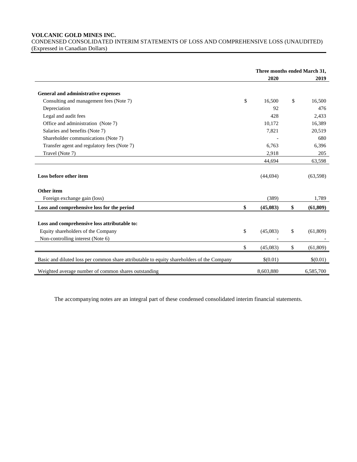**VOLCANIC GOLD MINES INC.**

CONDENSED CONSOLIDATED INTERIM STATEMENTS OF LOSS AND COMPREHENSIVE LOSS (UNAUDITED) (Expressed in Canadian Dollars)

|                                                                                            | Three months ended March 31, |    |           |
|--------------------------------------------------------------------------------------------|------------------------------|----|-----------|
|                                                                                            | 2020                         |    | 2019      |
| General and administrative expenses                                                        |                              |    |           |
| Consulting and management fees (Note 7)                                                    | \$<br>16,500                 | \$ | 16,500    |
| Depreciation                                                                               | 92                           |    | 476       |
| Legal and audit fees                                                                       | 428                          |    | 2,433     |
| Office and administration (Note 7)                                                         | 10,172                       |    | 16,389    |
| Salaries and benefits (Note 7)                                                             | 7,821                        |    | 20,519    |
| Shareholder communications (Note 7)                                                        |                              |    | 680       |
| Transfer agent and regulatory fees (Note 7)                                                | 6,763                        |    | 6,396     |
| Travel (Note 7)                                                                            | 2,918                        |    | 205       |
|                                                                                            | 44,694                       |    | 63,598    |
| Loss before other item                                                                     | (44, 694)                    |    | (63,598)  |
| Other item                                                                                 |                              |    |           |
| Foreign exchange gain (loss)                                                               | (389)                        |    | 1,789     |
| Loss and comprehensive loss for the period                                                 | \$<br>(45,083)               | \$ | (61, 809) |
| Loss and comprehensive loss attributable to:                                               |                              |    |           |
| Equity shareholders of the Company                                                         | \$<br>(45,083)               | \$ | (61, 809) |
| Non-controlling interest (Note 6)                                                          |                              |    |           |
|                                                                                            | \$<br>(45,083)               | \$ | (61, 809) |
| Basic and diluted loss per common share attributable to equity shareholders of the Company | \$(0.01)                     |    | \$(0.01)  |
| Weighted average number of common shares outstanding                                       | 8,603,880                    |    | 6,585,700 |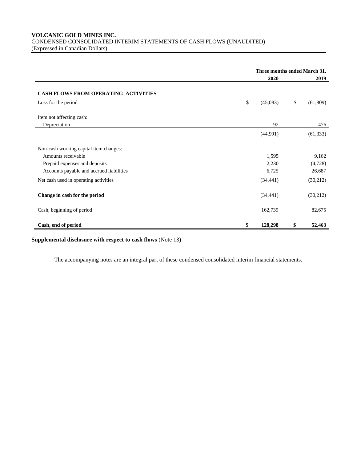**VOLCANIC GOLD MINES INC.** CONDENSED CONSOLIDATED INTERIM STATEMENTS OF CASH FLOWS (UNAUDITED) (Expressed in Canadian Dollars)

|                                             | Three months ended March 31, |    |           |
|---------------------------------------------|------------------------------|----|-----------|
|                                             | 2020                         |    | 2019      |
| <b>CASH FLOWS FROM OPERATING ACTIVITIES</b> |                              |    |           |
| Loss for the period                         | \$<br>(45,083)               | \$ | (61, 809) |
| Item not affecting cash:                    | 92                           |    | 476       |
| Depreciation                                |                              |    |           |
|                                             | (44,991)                     |    | (61, 333) |
| Non-cash working capital item changes:      |                              |    |           |
| Amounts receivable                          | 1,595                        |    | 9,162     |
| Prepaid expenses and deposits               | 2,230                        |    | (4,728)   |
| Accounts payable and accrued liabilities    | 6,725                        |    | 26,687    |
| Net cash used in operating activities       | (34, 441)                    |    | (30,212)  |
| Change in cash for the period               | (34, 441)                    |    | (30,212)  |
| Cash, beginning of period                   | 162,739                      |    | 82,675    |
| Cash, end of period                         | \$<br>128,298                | \$ | 52,463    |

**Supplemental disclosure with respect to cash flows** (Note 13)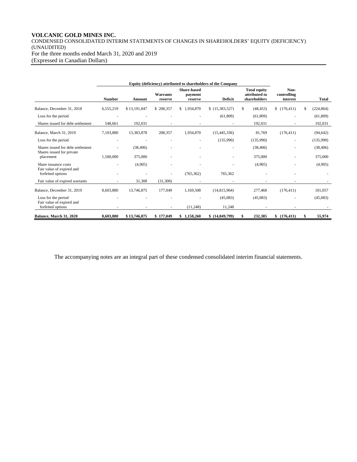# **VOLCANIC GOLD MINES INC.**

CONDENSED CONSOLIDATED INTERIM STATEMENTS OF CHANGES IN SHAREHOLDERS' EQUITY (DEFICIENCY) (UNAUDITED) For the three months ended March 31, 2020 and 2019 (Expressed in Canadian Dollars)

|                                                                | Equity (deficiency) attributed to shareholders of the Company |              |                     |                                          |                          |                                                      |                                 |                  |
|----------------------------------------------------------------|---------------------------------------------------------------|--------------|---------------------|------------------------------------------|--------------------------|------------------------------------------------------|---------------------------------|------------------|
|                                                                | <b>Number</b>                                                 | Amount       | Warrants<br>reserve | <b>Share-based</b><br>payment<br>reserve | <b>Deficit</b>           | <b>Total equity</b><br>attributed to<br>shareholders | Non-<br>controlling<br>interest | <b>Total</b>     |
| Balance, December 31, 2018                                     | 6,555,219                                                     | \$13,191,847 | \$208,357           | \$1,934,870                              | \$(15,383,527)           | S.<br>(48, 453)                                      | \$(176, 411)                    | \$<br>(224, 864) |
| Loss for the period                                            |                                                               |              |                     |                                          | (61, 809)                | (61, 809)                                            |                                 | (61, 809)        |
| Shares issued for debt settlement                              | 548,661                                                       | 192,031      |                     |                                          |                          | 192,031                                              | ٠                               | 192,031          |
| Balance, March 31, 2019                                        | 7,103,880                                                     | 13,383,878   | 208,357             | 1,934,870                                | (15, 445, 336)           | 81,769                                               | (176, 411)                      | (94, 642)        |
| Loss for the period                                            | ٠                                                             |              |                     |                                          | (135,990)                | (135,990)                                            | ٠                               | (135,990)        |
| Shares issued for debt settlement<br>Shares issued for private |                                                               | (38, 406)    |                     |                                          | $\overline{\phantom{a}}$ | (38, 406)                                            | ٠                               | (38, 406)        |
| placement                                                      | 1,500,000                                                     | 375,000      |                     |                                          | $\overline{\phantom{a}}$ | 375,000                                              |                                 | 375,000          |
| Share issuance costs<br>Fair value of expired and              |                                                               | (4,905)      |                     |                                          | ٠                        | (4,905)                                              |                                 | (4,905)          |
| forfeited options                                              |                                                               |              |                     | (765, 362)                               | 765,362                  |                                                      |                                 |                  |
| Fair value of expired warrants                                 |                                                               | 31,308       | (31,308)            |                                          |                          |                                                      |                                 |                  |
| Balance, December 31, 2019                                     | 8,603,880                                                     | 13,746,875   | 177,049             | 1,169,508                                | (14, 815, 964)           | 277,468                                              | (176, 411)                      | 101,057          |
| Loss for the period                                            |                                                               |              |                     |                                          | (45,083)                 | (45,083)                                             |                                 | (45,083)         |
| Fair value of expired and<br>forfeited options                 |                                                               |              |                     | (11,248)                                 | 11,248                   |                                                      |                                 |                  |
| Balance, March 31, 2020                                        | 8,603,880                                                     | \$13,746,875 | \$177,049           | \$1,158,260                              | \$(14,849,799)           | 232,385<br>\$                                        | \$(176, 411)                    | 55,974<br>\$     |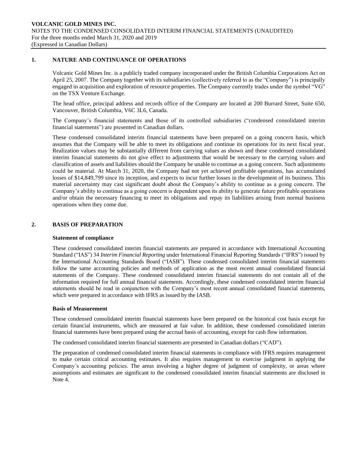### **1. NATURE AND CONTINUANCE OF OPERATIONS**

Volcanic Gold Mines Inc. is a publicly traded company incorporated under the British Columbia Corporations Act on April 25, 2007. The Company together with its subsidiaries (collectively referred to as the "Company") is principally engaged in acquisition and exploration of resource properties. The Company currently trades under the symbol "VG" on the TSX Venture Exchange.

The head office, principal address and records office of the Company are located at 200 Burrard Street, Suite 650, Vancouver, British Columbia, V6C 3L6, Canada.

The Company's financial statements and those of its controlled subsidiaries ("condensed consolidated interim financial statements") are presented in Canadian dollars.

These condensed consolidated interim financial statements have been prepared on a going concern basis, which assumes that the Company will be able to meet its obligations and continue its operations for its next fiscal year. Realization values may be substantially different from carrying values as shown and these condensed consolidated interim financial statements do not give effect to adjustments that would be necessary to the carrying values and classification of assets and liabilities should the Company be unable to continue as a going concern. Such adjustments could be material. At March 31, 2020, the Company had not yet achieved profitable operations, has accumulated losses of \$14,849,799 since its inception, and expects to incur further losses in the development of its business. This material uncertainty may cast significant doubt about the Company's ability to continue as a going concern. The Company's ability to continue as a going concern is dependent upon its ability to generate future profitable operations and/or obtain the necessary financing to meet its obligations and repay its liabilities arising from normal business operations when they come due.

### **2. BASIS OF PREPARATION**

#### **Statement of compliance**

These condensed consolidated interim financial statements are prepared in accordance with International Accounting Standard ("IAS") 34 *Interim Financial Reporting* under International Financial Reporting Standards ("IFRS") issued by the International Accounting Standards Board ("IASB"). These condensed consolidated interim financial statements follow the same accounting policies and methods of application as the most recent annual consolidated financial statements of the Company. These condensed consolidated interim financial statements do not contain all of the information required for full annual financial statements. Accordingly, these condensed consolidated interim financial statements should be read in conjunction with the Company's most recent annual consolidated financial statements, which were prepared in accordance with IFRS as issued by the IASB.

### **Basis of Measurement**

These condensed consolidated interim financial statements have been prepared on the historical cost basis except for certain financial instruments, which are measured at fair value. In addition, these condensed consolidated interim financial statements have been prepared using the accrual basis of accounting, except for cash flow information.

The condensed consolidated interim financial statements are presented in Canadian dollars ("CAD").

The preparation of condensed consolidated interim financial statements in compliance with IFRS requires management to make certain critical accounting estimates. It also requires management to exercise judgment in applying the Company's accounting policies. The areas involving a higher degree of judgment of complexity, or areas where assumptions and estimates are significant to the condensed consolidated interim financial statements are disclosed in Note 4.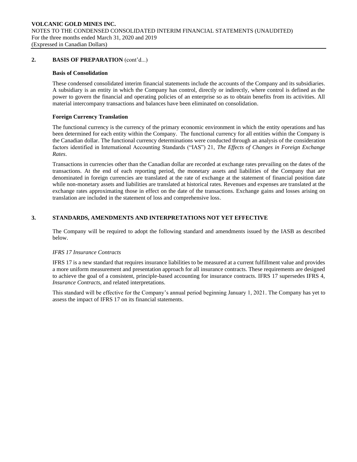### **2. BASIS OF PREPARATION** (cont'd...)

#### **Basis of Consolidation**

These condensed consolidated interim financial statements include the accounts of the Company and its subsidiaries. A subsidiary is an entity in which the Company has control, directly or indirectly, where control is defined as the power to govern the financial and operating policies of an enterprise so as to obtain benefits from its activities. All material intercompany transactions and balances have been eliminated on consolidation.

#### **Foreign Currency Translation**

The functional currency is the currency of the primary economic environment in which the entity operations and has been determined for each entity within the Company. The functional currency for all entities within the Company is the Canadian dollar. The functional currency determinations were conducted through an analysis of the consideration factors identified in International Accounting Standards ("IAS") 21, *The Effects of Changes in Foreign Exchange Rates*.

Transactions in currencies other than the Canadian dollar are recorded at exchange rates prevailing on the dates of the transactions. At the end of each reporting period, the monetary assets and liabilities of the Company that are denominated in foreign currencies are translated at the rate of exchange at the statement of financial position date while non-monetary assets and liabilities are translated at historical rates. Revenues and expenses are translated at the exchange rates approximating those in effect on the date of the transactions. Exchange gains and losses arising on translation are included in the statement of loss and comprehensive loss.

## **3. STANDARDS, AMENDMENTS AND INTERPRETATIONS NOT YET EFFECTIVE**

The Company will be required to adopt the following standard and amendments issued by the IASB as described below.

#### *IFRS 17 Insurance Contracts*

IFRS 17 is a new standard that requires insurance liabilities to be measured at a current fulfillment value and provides a more uniform measurement and presentation approach for all insurance contracts. These requirements are designed to achieve the goal of a consistent, principle-based accounting for insurance contracts. IFRS 17 supersedes IFRS 4, *Insurance Contracts*, and related interpretations.

This standard will be effective for the Company's annual period beginning January 1, 2021. The Company has yet to assess the impact of IFRS 17 on its financial statements.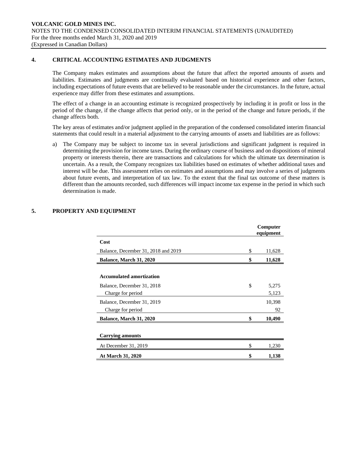## **4. CRITICAL ACCOUNTING ESTIMATES AND JUDGMENTS**

The Company makes estimates and assumptions about the future that affect the reported amounts of assets and liabilities. Estimates and judgments are continually evaluated based on historical experience and other factors, including expectations of future events that are believed to be reasonable under the circumstances. In the future, actual experience may differ from these estimates and assumptions.

The effect of a change in an accounting estimate is recognized prospectively by including it in profit or loss in the period of the change, if the change affects that period only, or in the period of the change and future periods, if the change affects both.

The key areas of estimates and/or judgment applied in the preparation of the condensed consolidated interim financial statements that could result in a material adjustment to the carrying amounts of assets and liabilities are as follows:

a) The Company may be subject to income tax in several jurisdictions and significant judgment is required in determining the provision for income taxes. During the ordinary course of business and on dispositions of mineral property or interests therein, there are transactions and calculations for which the ultimate tax determination is uncertain. As a result, the Company recognizes tax liabilities based on estimates of whether additional taxes and interest will be due. This assessment relies on estimates and assumptions and may involve a series of judgments about future events, and interpretation of tax law. To the extent that the final tax outcome of these matters is different than the amounts recorded, such differences will impact income tax expense in the period in which such determination is made.

|                                                               | Computer<br>equipment |  |  |
|---------------------------------------------------------------|-----------------------|--|--|
| Cost                                                          |                       |  |  |
| Balance, December 31, 2018 and 2019                           | \$<br>11,628          |  |  |
| <b>Balance, March 31, 2020</b>                                | \$<br>11,628          |  |  |
| <b>Accumulated amortization</b><br>Balance, December 31, 2018 | \$<br>5,275           |  |  |
| Charge for period                                             | 5,123                 |  |  |
| Balance, December 31, 2019<br>Charge for period               | 10,398<br>92          |  |  |
| Balance, March 31, 2020                                       | \$<br>10,490          |  |  |
| <b>Carrying amounts</b>                                       |                       |  |  |
| At December 31, 2019                                          | \$<br>1,230           |  |  |
| At March 31, 2020                                             | 1,138                 |  |  |

## **5. PROPERTY AND EQUIPMENT**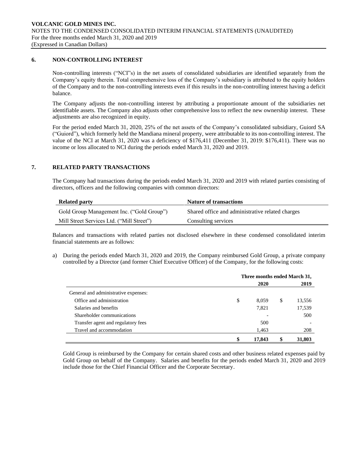#### **6. NON-CONTROLLING INTEREST**

Non-controlling interests ("NCI"s) in the net assets of consolidated subsidiaries are identified separately from the Company's equity therein. Total comprehensive loss of the Company's subsidiary is attributed to the equity holders of the Company and to the non-controlling interests even if this results in the non-controlling interest having a deficit balance.

The Company adjusts the non-controlling interest by attributing a proportionate amount of the subsidiaries net identifiable assets. The Company also adjusts other comprehensive loss to reflect the new ownership interest. These adjustments are also recognized in equity.

For the period ended March 31, 2020, 25% of the net assets of the Company's consolidated subsidiary, Guiord SA ("Guiord"), which formerly held the Mandiana mineral property, were attributable to its non-controlling interest. The value of the NCI at March 31, 2020 was a deficiency of \$176,411 (December 31, 2019: \$176,411). There was no income or loss allocated to NCI during the periods ended March 31, 2020 and 2019.

### **7. RELATED PARTY TRANSACTIONS**

The Company had transactions during the periods ended March 31, 2020 and 2019 with related parties consisting of directors, officers and the following companies with common directors:

| <b>Related party</b>                      | <b>Nature of transactions</b>                    |
|-------------------------------------------|--------------------------------------------------|
| Gold Group Management Inc. ("Gold Group") | Shared office and administrative related charges |
| Mill Street Services Ltd. ("Mill Street") | Consulting services                              |

Balances and transactions with related parties not disclosed elsewhere in these condensed consolidated interim financial statements are as follows:

a) During the periods ended March 31, 2020 and 2019, the Company reimbursed Gold Group, a private company controlled by a Director (and former Chief Executive Officer) of the Company, for the following costs:

|                                      | Three months ended March 31, |    |        |  |  |  |
|--------------------------------------|------------------------------|----|--------|--|--|--|
|                                      | 2020                         |    | 2019   |  |  |  |
| General and administrative expenses: |                              |    |        |  |  |  |
| Office and administration            | \$<br>8.059                  | \$ | 13,556 |  |  |  |
| Salaries and benefits                | 7,821                        |    | 17,539 |  |  |  |
| Shareholder communications           |                              |    | 500    |  |  |  |
| Transfer agent and regulatory fees   | 500                          |    |        |  |  |  |
| Travel and accommodation             | 1,463                        |    | 208    |  |  |  |
|                                      | \$<br>17,843                 | S  | 31,803 |  |  |  |

Gold Group is reimbursed by the Company for certain shared costs and other business related expenses paid by Gold Group on behalf of the Company. Salaries and benefits for the periods ended March 31, 2020 and 2019 include those for the Chief Financial Officer and the Corporate Secretary.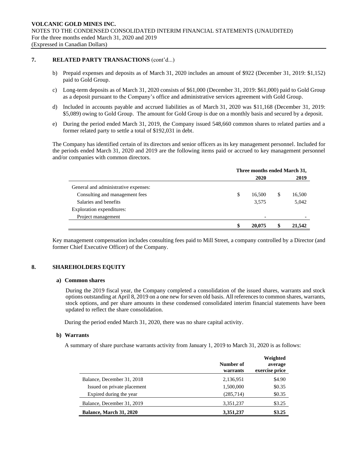### **7. RELATED PARTY TRANSACTIONS** (cont'd...)

- b) Prepaid expenses and deposits as of March 31, 2020 includes an amount of \$922 (December 31, 2019: \$1,152) paid to Gold Group.
- c) Long-term deposits as of March 31, 2020 consists of \$61,000 (December 31, 2019: \$61,000) paid to Gold Group as a deposit pursuant to the Company's office and administrative services agreement with Gold Group.
- d) Included in accounts payable and accrued liabilities as of March 31, 2020 was \$11,168 (December 31, 2019: \$5,089) owing to Gold Group. The amount for Gold Group is due on a monthly basis and secured by a deposit.
- e) During the period ended March 31, 2019, the Company issued 548,660 common shares to related parties and a former related party to settle a total of \$192,031 in debt.

The Company has identified certain of its directors and senior officers as its key management personnel. Included for the periods ended March 31, 2020 and 2019 are the following items paid or accrued to key management personnel and/or companies with common directors.

|                                      | Three months ended March 31, |        |   |        |
|--------------------------------------|------------------------------|--------|---|--------|
|                                      |                              | 2020   |   | 2019   |
| General and administrative expenses: |                              |        |   |        |
| Consulting and management fees       | \$                           | 16,500 | S | 16,500 |
| Salaries and benefits                |                              | 3,575  |   | 5,042  |
| Exploration expenditures:            |                              |        |   |        |
| Project management                   |                              |        |   |        |
|                                      | \$                           | 20.075 |   | 21,542 |

Key management compensation includes consulting fees paid to Mill Street, a company controlled by a Director (and former Chief Executive Officer) of the Company.

### **8. SHAREHOLDERS EQUITY**

#### **a) Common shares**

During the 2019 fiscal year, the Company completed a consolidation of the issued shares, warrants and stock options outstanding at April 8, 2019 on a one new for seven old basis. All references to common shares, warrants, stock options, and per share amounts in these condensed consolidated interim financial statements have been updated to reflect the share consolidation.

During the period ended March 31, 2020, there was no share capital activity.

#### **b) Warrants**

A summary of share purchase warrants activity from January 1, 2019 to March 31, 2020 is as follows:

|                                | Number of<br>warrants | Weighted<br>average<br>exercise price |
|--------------------------------|-----------------------|---------------------------------------|
| Balance, December 31, 2018     | 2,136,951             | \$4.90                                |
| Issued on private placement    | 1,500,000             | \$0.35                                |
| Expired during the year        | (285,714)             | \$0.35                                |
| Balance, December 31, 2019     | 3,351,237             | \$3.25                                |
| <b>Balance, March 31, 2020</b> | 3,351,237             | \$3.25                                |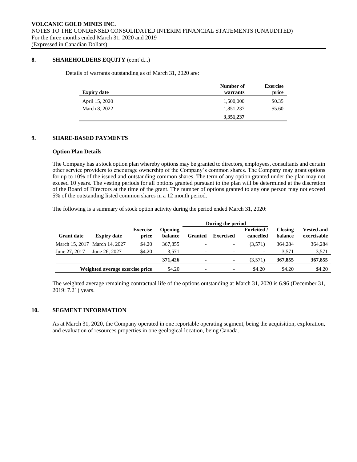## **8. SHAREHOLDERS EQUITY** (cont'd...)

Details of warrants outstanding as of March 31, 2020 are:

| <b>Expiry date</b> | Number of<br>warrants | <b>Exercise</b><br>price |
|--------------------|-----------------------|--------------------------|
| April 15, 2020     | 1,500,000             | \$0.35                   |
| March 8, 2022      | 1,851,237             | \$5.60                   |
|                    | 3,351,237             |                          |

## **9. SHARE-BASED PAYMENTS**

#### **Option Plan Details**

The Company has a stock option plan whereby options may be granted to directors, employees, consultants and certain other service providers to encourage ownership of the Company's common shares. The Company may grant options for up to 10% of the issued and outstanding common shares. The term of any option granted under the plan may not exceed 10 years. The vesting periods for all options granted pursuant to the plan will be determined at the discretion of the Board of Directors at the time of the grant. The number of options granted to any one person may not exceed 5% of the outstanding listed common shares in a 12 month period.

The following is a summary of stock option activity during the period ended March 31, 2020:

|                   |                                 |                          |                           |                          | During the period        |                                 |                           |                                  |
|-------------------|---------------------------------|--------------------------|---------------------------|--------------------------|--------------------------|---------------------------------|---------------------------|----------------------------------|
| <b>Grant date</b> | <b>Expiry date</b>              | <b>Exercise</b><br>price | <b>Opening</b><br>balance | Granted                  | <b>Exercised</b>         | <b>Forfeited</b> /<br>cancelled | <b>Closing</b><br>balance | <b>Vested and</b><br>exercisable |
|                   | March 15, 2017 March 14, 2027   | \$4.20                   | 367,855                   |                          | -                        | (3.571)                         | 364.284                   | 364,284                          |
| June 27, 2017     | June 26, 2027                   | \$4.20                   | 3.571                     | $\overline{\phantom{0}}$ | $\overline{\phantom{a}}$ | $\overline{\phantom{a}}$        | 3.571                     | 3,571                            |
|                   |                                 |                          | 371,426                   |                          | ۰                        | (3,571)                         | 367,855                   | 367,855                          |
|                   | Weighted average exercise price |                          | \$4.20                    |                          | -                        | \$4.20                          | \$4.20                    | \$4.20                           |

The weighted average remaining contractual life of the options outstanding at March 31, 2020 is 6.96 (December 31, 2019: 7.21) years.

## **10. SEGMENT INFORMATION**

As at March 31, 2020, the Company operated in one reportable operating segment, being the acquisition, exploration, and evaluation of resources properties in one geological location, being Canada.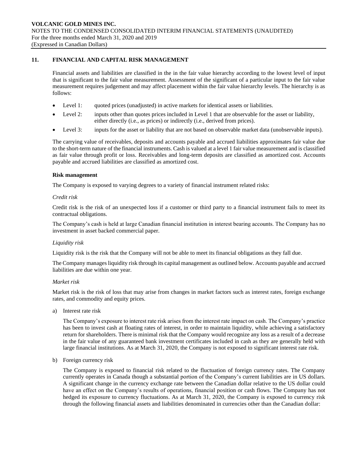# **11. FINANCIAL AND CAPITAL RISK MANAGEMENT**

Financial assets and liabilities are classified in the in the fair value hierarchy according to the lowest level of input that is significant to the fair value measurement. Assessment of the significant of a particular input to the fair value measurement requires judgement and may affect placement within the fair value hierarchy levels. The hierarchy is as follows:

- Level 1: quoted prices (unadjusted) in active markets for identical assets or liabilities.
- Level 2: inputs other than quotes prices included in Level 1 that are observable for the asset or liability, either directly (i.e., as prices) or indirectly (i.e., derived from prices).
- Level 3: inputs for the asset or liability that are not based on observable market data (unobservable inputs).

The carrying value of receivables, deposits and accounts payable and accrued liabilities approximates fair value due to the short-term nature of the financial instruments. Cash is valued at a level 1 fair value measurement and is classified as fair value through profit or loss. Receivables and long-term deposits are classified as amortized cost. Accounts payable and accrued liabilities are classified as amortized cost.

#### **Risk management**

The Company is exposed to varying degrees to a variety of financial instrument related risks:

#### *Credit risk*

Credit risk is the risk of an unexpected loss if a customer or third party to a financial instrument fails to meet its contractual obligations.

The Company's cash is held at large Canadian financial institution in interest bearing accounts. The Company has no investment in asset backed commercial paper.

#### *Liquidity risk*

Liquidity risk is the risk that the Company will not be able to meet its financial obligations as they fall due.

The Company manages liquidity risk through its capital management as outlined below. Accounts payable and accrued liabilities are due within one year.

### *Market risk*

Market risk is the risk of loss that may arise from changes in market factors such as interest rates, foreign exchange rates, and commodity and equity prices.

a) Interest rate risk

The Company's exposure to interest rate risk arises from the interest rate impact on cash. The Company's practice has been to invest cash at floating rates of interest, in order to maintain liquidity, while achieving a satisfactory return for shareholders. There is minimal risk that the Company would recognize any loss as a result of a decrease in the fair value of any guaranteed bank investment certificates included in cash as they are generally held with large financial institutions. As at March 31, 2020, the Company is not exposed to significant interest rate risk.

b) Foreign currency risk

The Company is exposed to financial risk related to the fluctuation of foreign currency rates. The Company currently operates in Canada though a substantial portion of the Company's current liabilities are in US dollars. A significant change in the currency exchange rate between the Canadian dollar relative to the US dollar could have an effect on the Company's results of operations, financial position or cash flows. The Company has not hedged its exposure to currency fluctuations. As at March 31, 2020, the Company is exposed to currency risk through the following financial assets and liabilities denominated in currencies other than the Canadian dollar: